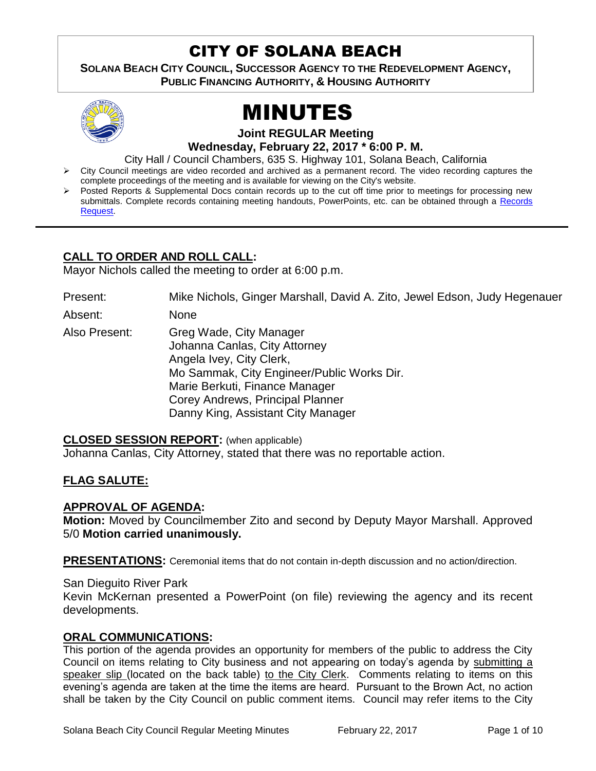# CITY OF SOLANA BEACH

**SOLANA BEACH CITY COUNCIL, SUCCESSOR AGENCY TO THE REDEVELOPMENT AGENCY, PUBLIC FINANCING AUTHORITY, & HOUSING AUTHORITY** 



# MINUTES

**Joint REGULAR Meeting Wednesday, February 22, 2017 \* 6:00 P. M.** 

City Hall / Council Chambers, 635 S. Highway 101, Solana Beach, California

- $\triangleright$  City Council meetings are video recorded and archived as a permanent record. The video recording captures the complete proceedings of the meeting and is available for viewing on the City's website.
- Posted Reports & Supplemental Docs contain records up to the cut off time prior to meetings for processing new submittals. Complete records containing meeting handouts, PowerPoints, etc. can be obtained through a [Records](http://www.ci.solana-beach.ca.us/index.asp?SEC=F5D45D10-70CE-4291-A27C-7BD633FC6742&Type=B_BASIC)  [Request.](http://www.ci.solana-beach.ca.us/index.asp?SEC=F5D45D10-70CE-4291-A27C-7BD633FC6742&Type=B_BASIC)

# **CALL TO ORDER AND ROLL CALL:**

Mayor Nichols called the meeting to order at 6:00 p.m.

Present: Mike Nichols, Ginger Marshall, David A. Zito, Jewel Edson, Judy Hegenauer

Absent: None

Also Present: Greg Wade, City Manager Johanna Canlas, City Attorney Angela Ivey, City Clerk, Mo Sammak, City Engineer/Public Works Dir. Marie Berkuti, Finance Manager Corey Andrews, Principal Planner Danny King, Assistant City Manager

#### **CLOSED SESSION REPORT:** (when applicable)

Johanna Canlas, City Attorney, stated that there was no reportable action.

# **FLAG SALUTE:**

# **APPROVAL OF AGENDA:**

**Motion:** Moved by Councilmember Zito and second by Deputy Mayor Marshall. Approved 5/0 **Motion carried unanimously.**

**PRESENTATIONS:** Ceremonial items that do not contain in-depth discussion and no action/direction.

San Dieguito River Park

Kevin McKernan presented a PowerPoint (on file) reviewing the agency and its recent developments.

# **ORAL COMMUNICATIONS:**

This portion of the agenda provides an opportunity for members of the public to address the City Council on items relating to City business and not appearing on today's agenda by submitting a speaker slip (located on the back table) to the City Clerk. Comments relating to items on this evening's agenda are taken at the time the items are heard. Pursuant to the Brown Act, no action shall be taken by the City Council on public comment items. Council may refer items to the City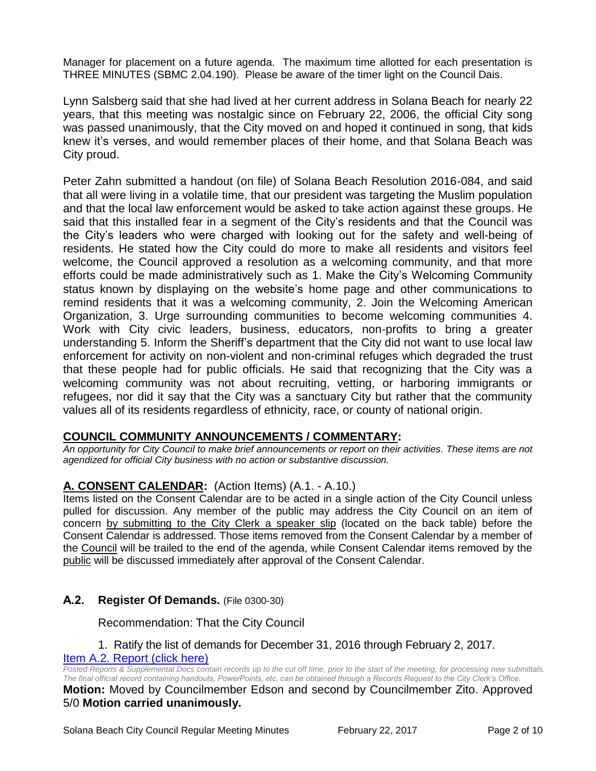Manager for placement on a future agenda. The maximum time allotted for each presentation is THREE MINUTES (SBMC 2.04.190). Please be aware of the timer light on the Council Dais.

Lynn Salsberg said that she had lived at her current address in Solana Beach for nearly 22 years, that this meeting was nostalgic since on February 22, 2006, the official City song was passed unanimously, that the City moved on and hoped it continued in song, that kids knew it's verses, and would remember places of their home, and that Solana Beach was City proud.

Peter Zahn submitted a handout (on file) of Solana Beach Resolution 2016-084, and said that all were living in a volatile time, that our president was targeting the Muslim population and that the local law enforcement would be asked to take action against these groups. He said that this installed fear in a segment of the City's residents and that the Council was the City's leaders who were charged with looking out for the safety and well-being of residents. He stated how the City could do more to make all residents and visitors feel welcome, the Council approved a resolution as a welcoming community, and that more efforts could be made administratively such as 1. Make the City's Welcoming Community status known by displaying on the website's home page and other communications to remind residents that it was a welcoming community, 2. Join the Welcoming American Organization, 3. Urge surrounding communities to become welcoming communities 4. Work with City civic leaders, business, educators, non-profits to bring a greater understanding 5. Inform the Sheriff's department that the City did not want to use local law enforcement for activity on non-violent and non-criminal refuges which degraded the trust that these people had for public officials. He said that recognizing that the City was a welcoming community was not about recruiting, vetting, or harboring immigrants or refugees, nor did it say that the City was a sanctuary City but rather that the community values all of its residents regardless of ethnicity, race, or county of national origin.

# **COUNCIL COMMUNITY ANNOUNCEMENTS / COMMENTARY:**

*An opportunity for City Council to make brief announcements or report on their activities. These items are not agendized for official City business with no action or substantive discussion.* 

# **A. CONSENT CALENDAR:** (Action Items) (A.1. - A.10.)

Items listed on the Consent Calendar are to be acted in a single action of the City Council unless pulled for discussion. Any member of the public may address the City Council on an item of concern by submitting to the City Clerk a speaker slip (located on the back table) before the Consent Calendar is addressed. Those items removed from the Consent Calendar by a member of the Council will be trailed to the end of the agenda, while Consent Calendar items removed by the public will be discussed immediately after approval of the Consent Calendar.

# **A.2. Register Of Demands.** (File 0300-30)

Recommendation: That the City Council

#### 1. Ratify the list of demands for December 31, 2016 through February 2, 2017. [Item A.2. Report \(click here\)](https://solanabeach.govoffice3.com/vertical/Sites/%7B840804C2-F869-4904-9AE3-720581350CE7%7D/uploads/Item_A.2._Report_(click_here)_02-22-17.PDF)

*Posted Reports & Supplemental Docs contain records up to the cut off time, prior to the start of the meeting, for processing new submittals. The final official record containing handouts, PowerPoints, etc. can be obtained through a Records Request to the City Clerk's Office.*

#### **Motion:** Moved by Councilmember Edson and second by Councilmember Zito. Approved 5/0 **Motion carried unanimously.**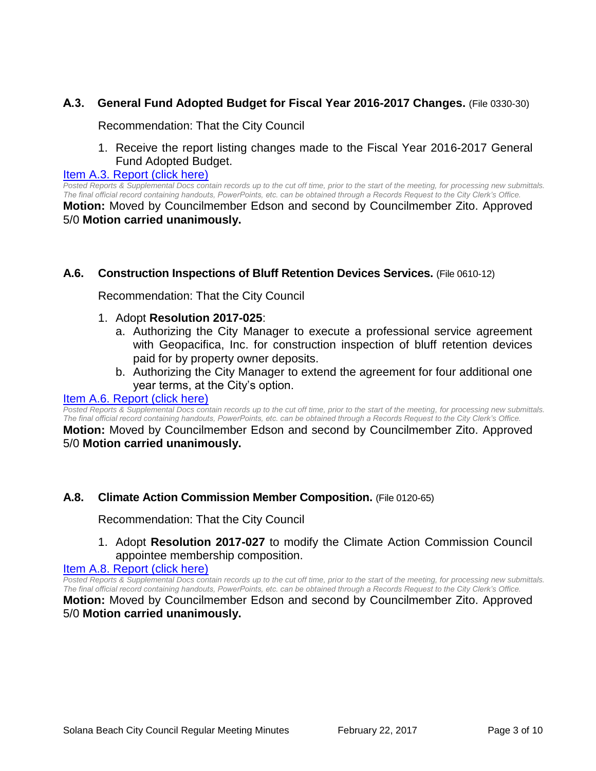# **A.3. General Fund Adopted Budget for Fiscal Year 2016-2017 Changes.** (File 0330-30)

Recommendation: That the City Council

1. Receive the report listing changes made to the Fiscal Year 2016-2017 General Fund Adopted Budget.

[Item A.3. Report \(click here\)](https://solanabeach.govoffice3.com/vertical/Sites/%7B840804C2-F869-4904-9AE3-720581350CE7%7D/uploads/Item_A.3._Report_(click_here)_02-22-17.PDF)

*Posted Reports & Supplemental Docs contain records up to the cut off time, prior to the start of the meeting, for processing new submittals. The final official record containing handouts, PowerPoints, etc. can be obtained through a Records Request to the City Clerk's Office.* **Motion:** Moved by Councilmember Edson and second by Councilmember Zito. Approved 5/0 **Motion carried unanimously.**

#### **A.6. Construction Inspections of Bluff Retention Devices Services.** (File 0610-12)

Recommendation: That the City Council

- 1. Adopt **Resolution 2017-025**:
	- a. Authorizing the City Manager to execute a professional service agreement with Geopacifica, Inc. for construction inspection of bluff retention devices paid for by property owner deposits.
	- b. Authorizing the City Manager to extend the agreement for four additional one year terms, at the City's option.

#### [Item A.6. Report \(click here\)](https://solanabeach.govoffice3.com/vertical/Sites/%7B840804C2-F869-4904-9AE3-720581350CE7%7D/uploads/Item_A.6._Report_(click_here)_02-22-17.PDF)

*Posted Reports & Supplemental Docs contain records up to the cut off time, prior to the start of the meeting, for processing new submittals. The final official record containing handouts, PowerPoints, etc. can be obtained through a Records Request to the City Clerk's Office.*

**Motion:** Moved by Councilmember Edson and second by Councilmember Zito. Approved 5/0 **Motion carried unanimously.**

#### **A.8. Climate Action Commission Member Composition.** (File 0120-65)

Recommendation: That the City Council

1. Adopt **Resolution 2017-027** to modify the Climate Action Commission Council appointee membership composition.

### [Item A.8. Report \(click here\)](https://solanabeach.govoffice3.com/vertical/Sites/%7B840804C2-F869-4904-9AE3-720581350CE7%7D/uploads/Item_A.8._Report_(click_here)_02-22-17.PDF)

*Posted Reports & Supplemental Docs contain records up to the cut off time, prior to the start of the meeting, for processing new submittals. The final official record containing handouts, PowerPoints, etc. can be obtained through a Records Request to the City Clerk's Office.*

**Motion:** Moved by Councilmember Edson and second by Councilmember Zito. Approved 5/0 **Motion carried unanimously.**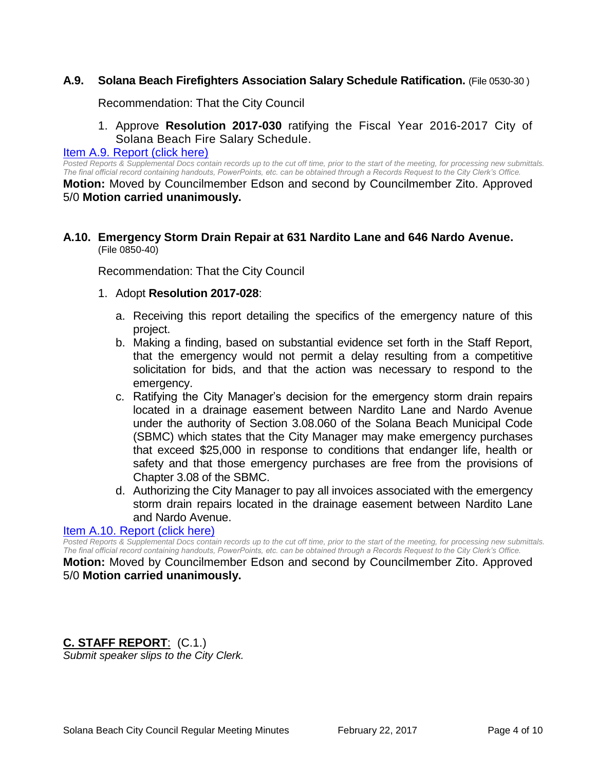# **A.9. Solana Beach Firefighters Association Salary Schedule Ratification.** (File 0530-30 )

Recommendation: That the City Council

1. Approve **Resolution 2017-030** ratifying the Fiscal Year 2016-2017 City of Solana Beach Fire Salary Schedule.

#### [Item A.9. Report \(click here\)](https://solanabeach.govoffice3.com/vertical/Sites/%7B840804C2-F869-4904-9AE3-720581350CE7%7D/uploads/Item_A.9._Report_(click_here)_02-22-17.PDF)

*Posted Reports & Supplemental Docs contain records up to the cut off time, prior to the start of the meeting, for processing new submittals. The final official record containing handouts, PowerPoints, etc. can be obtained through a Records Request to the City Clerk's Office.* **Motion:** Moved by Councilmember Edson and second by Councilmember Zito. Approved 5/0 **Motion carried unanimously.**

#### **A.10. Emergency Storm Drain Repair at 631 Nardito Lane and 646 Nardo Avenue.** (File 0850-40)

Recommendation: That the City Council

- 1. Adopt **Resolution 2017-028**:
	- a. Receiving this report detailing the specifics of the emergency nature of this project.
	- b. Making a finding, based on substantial evidence set forth in the Staff Report, that the emergency would not permit a delay resulting from a competitive solicitation for bids, and that the action was necessary to respond to the emergency.
	- c. Ratifying the City Manager's decision for the emergency storm drain repairs located in a drainage easement between Nardito Lane and Nardo Avenue under the authority of Section 3.08.060 of the Solana Beach Municipal Code (SBMC) which states that the City Manager may make emergency purchases that exceed \$25,000 in response to conditions that endanger life, health or safety and that those emergency purchases are free from the provisions of Chapter 3.08 of the SBMC.
	- d. Authorizing the City Manager to pay all invoices associated with the emergency storm drain repairs located in the drainage easement between Nardito Lane and Nardo Avenue.

#### [Item A.10. Report \(click here\)](https://solanabeach.govoffice3.com/vertical/Sites/%7B840804C2-F869-4904-9AE3-720581350CE7%7D/uploads/Item_A.10._Report_(click_here)_02-22-17.PDF)

*Posted Reports & Supplemental Docs contain records up to the cut off time, prior to the start of the meeting, for processing new submittals. The final official record containing handouts, PowerPoints, etc. can be obtained through a Records Request to the City Clerk's Office.*

**Motion:** Moved by Councilmember Edson and second by Councilmember Zito. Approved 5/0 **Motion carried unanimously.**

# **C. STAFF REPORT**: (C.1.)

*Submit speaker slips to the City Clerk.*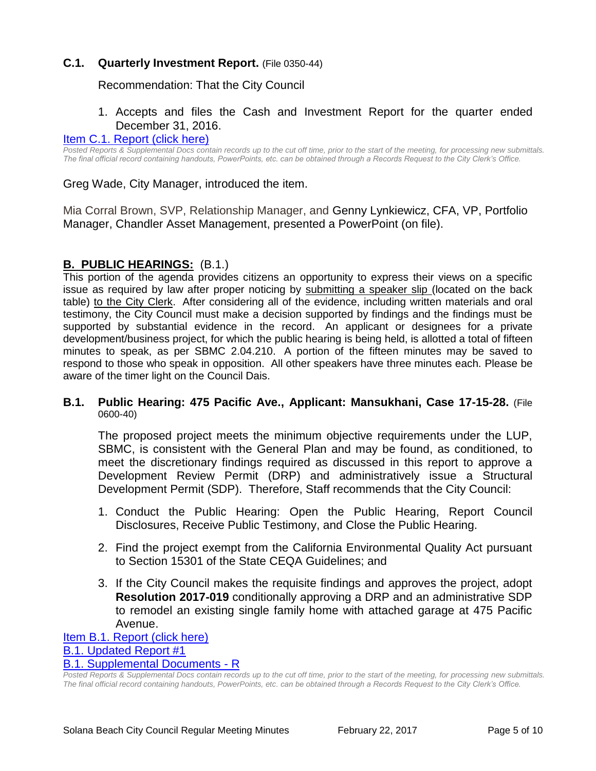# **C.1. Quarterly Investment Report.** (File 0350-44)

Recommendation: That the City Council

# 1. Accepts and files the Cash and Investment Report for the quarter ended December 31, 2016.

#### [Item C.1. Report \(click here\)](https://solanabeach.govoffice3.com/vertical/Sites/%7B840804C2-F869-4904-9AE3-720581350CE7%7D/uploads/Item_C.1._Report_(click_here)_02-22-17.PDF)

*Posted Reports & Supplemental Docs contain records up to the cut off time, prior to the start of the meeting, for processing new submittals. The final official record containing handouts, PowerPoints, etc. can be obtained through a Records Request to the City Clerk's Office.*

Greg Wade, City Manager, introduced the item.

Mia Corral Brown, SVP, Relationship Manager, and Genny Lynkiewicz, CFA, VP, Portfolio Manager, Chandler Asset Management, presented a PowerPoint (on file).

### **B. PUBLIC HEARINGS:** (B.1.)

This portion of the agenda provides citizens an opportunity to express their views on a specific issue as required by law after proper noticing by submitting a speaker slip (located on the back table) to the City Clerk. After considering all of the evidence, including written materials and oral testimony, the City Council must make a decision supported by findings and the findings must be supported by substantial evidence in the record. An applicant or designees for a private development/business project, for which the public hearing is being held, is allotted a total of fifteen minutes to speak, as per SBMC 2.04.210. A portion of the fifteen minutes may be saved to respond to those who speak in opposition. All other speakers have three minutes each. Please be aware of the timer light on the Council Dais.

#### **B.1. Public Hearing: 475 Pacific Ave., Applicant: Mansukhani, Case 17-15-28.** (File 0600-40)

The proposed project meets the minimum objective requirements under the LUP, SBMC, is consistent with the General Plan and may be found, as conditioned, to meet the discretionary findings required as discussed in this report to approve a Development Review Permit (DRP) and administratively issue a Structural Development Permit (SDP). Therefore, Staff recommends that the City Council:

- 1. Conduct the Public Hearing: Open the Public Hearing, Report Council Disclosures, Receive Public Testimony, and Close the Public Hearing.
- 2. Find the project exempt from the California Environmental Quality Act pursuant to Section 15301 of the State CEQA Guidelines; and
- 3. If the City Council makes the requisite findings and approves the project, adopt **Resolution 2017-019** conditionally approving a DRP and an administrative SDP to remodel an existing single family home with attached garage at 475 Pacific Avenue.

[Item B.1. Report \(click here\)](https://solanabeach.govoffice3.com/vertical/Sites/%7B840804C2-F869-4904-9AE3-720581350CE7%7D/uploads/Item_B.1._Report_(click_here)_02-22-17.PDF) [B.1. Updated Report #1](https://solanabeach.govoffice3.com/vertical/Sites/%7B840804C2-F869-4904-9AE3-720581350CE7%7D/uploads/B.1._Updated_Report_1_02-22-17.pdf) [B.1. Supplemental Documents](https://solanabeach.govoffice3.com/vertical/Sites/%7B840804C2-F869-4904-9AE3-720581350CE7%7D/uploads/B.1._Supplemental_Documents_updated_at_210pm_-_2-22-17.pdf) - R

*Posted Reports & Supplemental Docs contain records up to the cut off time, prior to the start of the meeting, for processing new submittals. The final official record containing handouts, PowerPoints, etc. can be obtained through a Records Request to the City Clerk's Office.*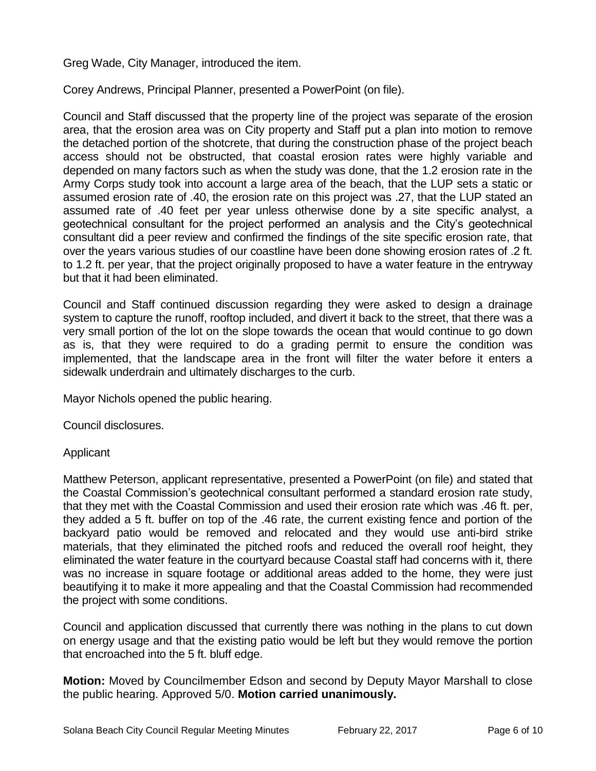Greg Wade, City Manager, introduced the item.

Corey Andrews, Principal Planner, presented a PowerPoint (on file).

Council and Staff discussed that the property line of the project was separate of the erosion area, that the erosion area was on City property and Staff put a plan into motion to remove the detached portion of the shotcrete, that during the construction phase of the project beach access should not be obstructed, that coastal erosion rates were highly variable and depended on many factors such as when the study was done, that the 1.2 erosion rate in the Army Corps study took into account a large area of the beach, that the LUP sets a static or assumed erosion rate of .40, the erosion rate on this project was .27, that the LUP stated an assumed rate of .40 feet per year unless otherwise done by a site specific analyst, a geotechnical consultant for the project performed an analysis and the City's geotechnical consultant did a peer review and confirmed the findings of the site specific erosion rate, that over the years various studies of our coastline have been done showing erosion rates of .2 ft. to 1.2 ft. per year, that the project originally proposed to have a water feature in the entryway but that it had been eliminated.

Council and Staff continued discussion regarding they were asked to design a drainage system to capture the runoff, rooftop included, and divert it back to the street, that there was a very small portion of the lot on the slope towards the ocean that would continue to go down as is, that they were required to do a grading permit to ensure the condition was implemented, that the landscape area in the front will filter the water before it enters a sidewalk underdrain and ultimately discharges to the curb.

Mayor Nichols opened the public hearing.

Council disclosures.

Applicant

Matthew Peterson, applicant representative, presented a PowerPoint (on file) and stated that the Coastal Commission's geotechnical consultant performed a standard erosion rate study, that they met with the Coastal Commission and used their erosion rate which was .46 ft. per, they added a 5 ft. buffer on top of the .46 rate, the current existing fence and portion of the backyard patio would be removed and relocated and they would use anti-bird strike materials, that they eliminated the pitched roofs and reduced the overall roof height, they eliminated the water feature in the courtyard because Coastal staff had concerns with it, there was no increase in square footage or additional areas added to the home, they were just beautifying it to make it more appealing and that the Coastal Commission had recommended the project with some conditions.

Council and application discussed that currently there was nothing in the plans to cut down on energy usage and that the existing patio would be left but they would remove the portion that encroached into the 5 ft. bluff edge.

**Motion:** Moved by Councilmember Edson and second by Deputy Mayor Marshall to close the public hearing. Approved 5/0. **Motion carried unanimously.**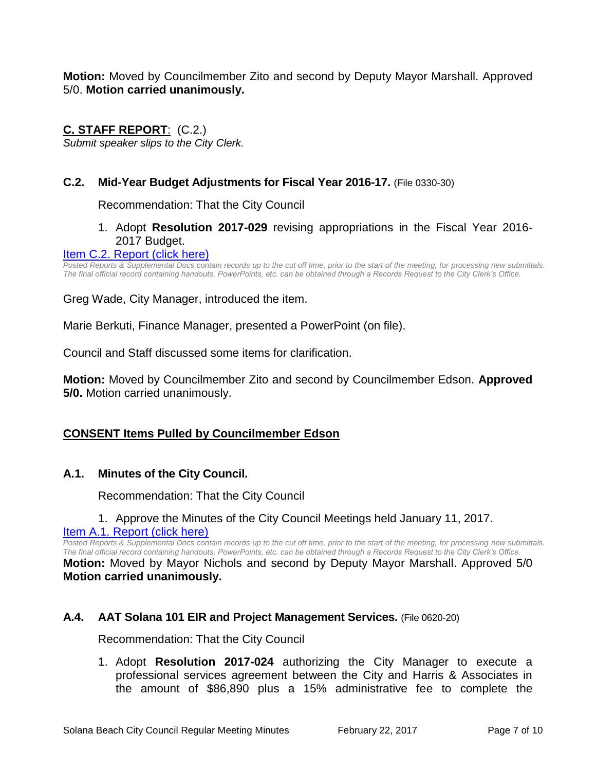**Motion:** Moved by Councilmember Zito and second by Deputy Mayor Marshall. Approved 5/0. **Motion carried unanimously.**

# **C. STAFF REPORT**: (C.2.)

*Submit speaker slips to the City Clerk.*

# **C.2. Mid-Year Budget Adjustments for Fiscal Year 2016-17.** (File 0330-30)

Recommendation: That the City Council

# 1. Adopt **Resolution 2017-029** revising appropriations in the Fiscal Year 2016- 2017 Budget.

#### [Item C.2. Report \(click here\)](https://solanabeach.govoffice3.com/vertical/Sites/%7B840804C2-F869-4904-9AE3-720581350CE7%7D/uploads/Item_C.2._Report_(click_here)_02-22-2017.pdf)

Posted Reports & Supplemental Docs contain records up to the cut off time, prior to the start of the meeting, for processing new submittals. *The final official record containing handouts, PowerPoints, etc. can be obtained through a Records Request to the City Clerk's Office.*

Greg Wade, City Manager, introduced the item.

Marie Berkuti, Finance Manager, presented a PowerPoint (on file).

Council and Staff discussed some items for clarification.

**Motion:** Moved by Councilmember Zito and second by Councilmember Edson. **Approved 5/0.** Motion carried unanimously.

# **CONSENT Items Pulled by Councilmember Edson**

# **A.1. Minutes of the City Council.**

Recommendation: That the City Council

# 1. Approve the Minutes of the City Council Meetings held January 11, 2017.

[Item A.1. Report \(click here\)](https://solanabeach.govoffice3.com/vertical/Sites/%7B840804C2-F869-4904-9AE3-720581350CE7%7D/uploads/Item_A.1._Report_(click_here)_02-22-17.pdf)

*Posted Reports & Supplemental Docs contain records up to the cut off time, prior to the start of the meeting, for processing new submittals. The final official record containing handouts, PowerPoints, etc. can be obtained through a Records Request to the City Clerk's Office.* **Motion:** Moved by Mayor Nichols and second by Deputy Mayor Marshall. Approved 5/0 **Motion carried unanimously.**

# **A.4. AAT Solana 101 EIR and Project Management Services.** (File 0620-20)

Recommendation: That the City Council

1. Adopt **Resolution 2017-024** authorizing the City Manager to execute a professional services agreement between the City and Harris & Associates in the amount of \$86,890 plus a 15% administrative fee to complete the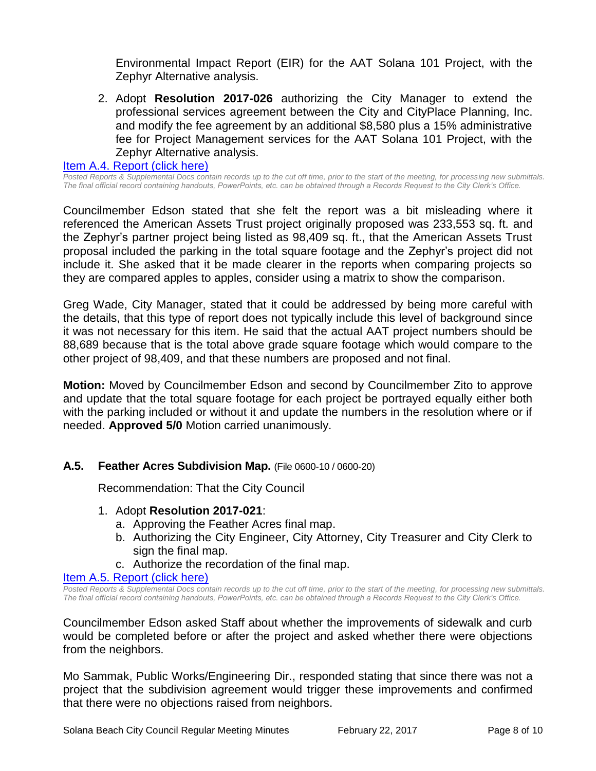Environmental Impact Report (EIR) for the AAT Solana 101 Project, with the Zephyr Alternative analysis.

2. Adopt **Resolution 2017-026** authorizing the City Manager to extend the professional services agreement between the City and CityPlace Planning, Inc. and modify the fee agreement by an additional \$8,580 plus a 15% administrative fee for Project Management services for the AAT Solana 101 Project, with the Zephyr Alternative analysis.

#### [Item A.4. Report \(click here\)](https://solanabeach.govoffice3.com/vertical/Sites/%7B840804C2-F869-4904-9AE3-720581350CE7%7D/uploads/Item_A.4._Report_(click_here)_02-22-17.PDF)

*Posted Reports & Supplemental Docs contain records up to the cut off time, prior to the start of the meeting, for processing new submittals. The final official record containing handouts, PowerPoints, etc. can be obtained through a Records Request to the City Clerk's Office.*

Councilmember Edson stated that she felt the report was a bit misleading where it referenced the American Assets Trust project originally proposed was 233,553 sq. ft. and the Zephyr's partner project being listed as 98,409 sq. ft., that the American Assets Trust proposal included the parking in the total square footage and the Zephyr's project did not include it. She asked that it be made clearer in the reports when comparing projects so they are compared apples to apples, consider using a matrix to show the comparison.

Greg Wade, City Manager, stated that it could be addressed by being more careful with the details, that this type of report does not typically include this level of background since it was not necessary for this item. He said that the actual AAT project numbers should be 88,689 because that is the total above grade square footage which would compare to the other project of 98,409, and that these numbers are proposed and not final.

**Motion:** Moved by Councilmember Edson and second by Councilmember Zito to approve and update that the total square footage for each project be portrayed equally either both with the parking included or without it and update the numbers in the resolution where or if needed. **Approved 5/0** Motion carried unanimously.

#### **A.5. Feather Acres Subdivision Map.** (File 0600-10 / 0600-20)

Recommendation: That the City Council

- 1. Adopt **Resolution 2017-021**:
	- a. Approving the Feather Acres final map.
	- b. Authorizing the City Engineer, City Attorney, City Treasurer and City Clerk to sign the final map.
	- c. Authorize the recordation of the final map.

#### [Item A.5. Report \(click here\)](https://solanabeach.govoffice3.com/vertical/Sites/%7B840804C2-F869-4904-9AE3-720581350CE7%7D/uploads/Item_A.5._Report_(click_here)_02-22-17.PDF)

*Posted Reports & Supplemental Docs contain records up to the cut off time, prior to the start of the meeting, for processing new submittals. The final official record containing handouts, PowerPoints, etc. can be obtained through a Records Request to the City Clerk's Office.*

Councilmember Edson asked Staff about whether the improvements of sidewalk and curb would be completed before or after the project and asked whether there were objections from the neighbors.

Mo Sammak, Public Works/Engineering Dir., responded stating that since there was not a project that the subdivision agreement would trigger these improvements and confirmed that there were no objections raised from neighbors.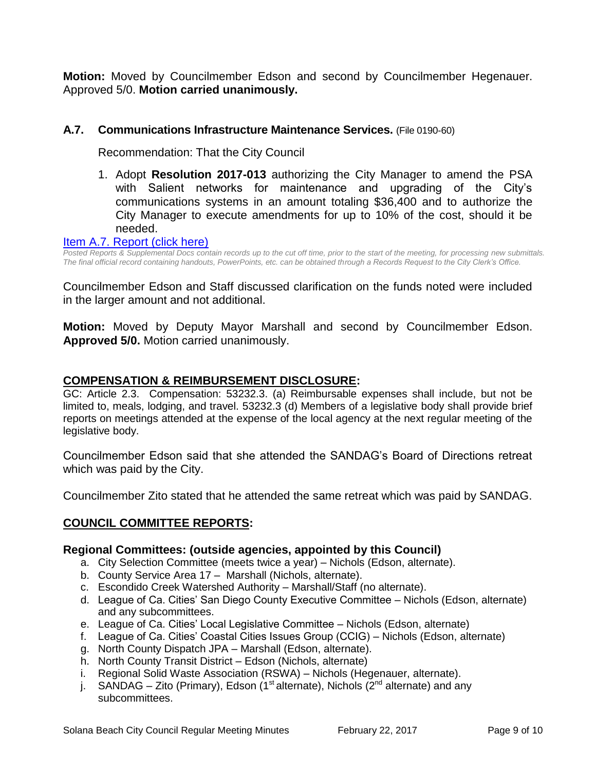**Motion:** Moved by Councilmember Edson and second by Councilmember Hegenauer. Approved 5/0. **Motion carried unanimously.**

# **A.7. Communications Infrastructure Maintenance Services.** (File 0190-60)

Recommendation: That the City Council

1. Adopt **Resolution 2017-013** authorizing the City Manager to amend the PSA with Salient networks for maintenance and upgrading of the City's communications systems in an amount totaling \$36,400 and to authorize the City Manager to execute amendments for up to 10% of the cost, should it be needed.

#### [Item A.7. Report \(click here\)](https://solanabeach.govoffice3.com/vertical/Sites/%7B840804C2-F869-4904-9AE3-720581350CE7%7D/uploads/Item_A.7._Report_(click_here)_02-22-17.PDF)

*Posted Reports & Supplemental Docs contain records up to the cut off time, prior to the start of the meeting, for processing new submittals. The final official record containing handouts, PowerPoints, etc. can be obtained through a Records Request to the City Clerk's Office.*

Councilmember Edson and Staff discussed clarification on the funds noted were included in the larger amount and not additional.

**Motion:** Moved by Deputy Mayor Marshall and second by Councilmember Edson. **Approved 5/0.** Motion carried unanimously.

# **COMPENSATION & REIMBURSEMENT DISCLOSURE:**

GC: Article 2.3. Compensation: 53232.3. (a) Reimbursable expenses shall include, but not be limited to, meals, lodging, and travel. 53232.3 (d) Members of a legislative body shall provide brief reports on meetings attended at the expense of the local agency at the next regular meeting of the legislative body.

Councilmember Edson said that she attended the SANDAG's Board of Directions retreat which was paid by the City.

Councilmember Zito stated that he attended the same retreat which was paid by SANDAG.

# **COUNCIL COMMITTEE REPORTS:**

#### **Regional Committees: (outside agencies, appointed by this Council)**

- a. City Selection Committee (meets twice a year) Nichols (Edson, alternate).
- b. County Service Area 17 Marshall (Nichols, alternate).
- c. Escondido Creek Watershed Authority Marshall/Staff (no alternate).
- d. League of Ca. Cities' San Diego County Executive Committee Nichols (Edson, alternate) and any subcommittees.
- e. League of Ca. Cities' Local Legislative Committee Nichols (Edson, alternate)
- f. League of Ca. Cities' Coastal Cities Issues Group (CCIG) Nichols (Edson, alternate)
- g. North County Dispatch JPA Marshall (Edson, alternate).
- h. North County Transit District Edson (Nichols, alternate)
- i. Regional Solid Waste Association (RSWA) Nichols (Hegenauer, alternate).
- j. SANDAG Zito (Primary), Edson (1<sup>st</sup> alternate), Nichols ( $2<sup>nd</sup>$  alternate) and any subcommittees.